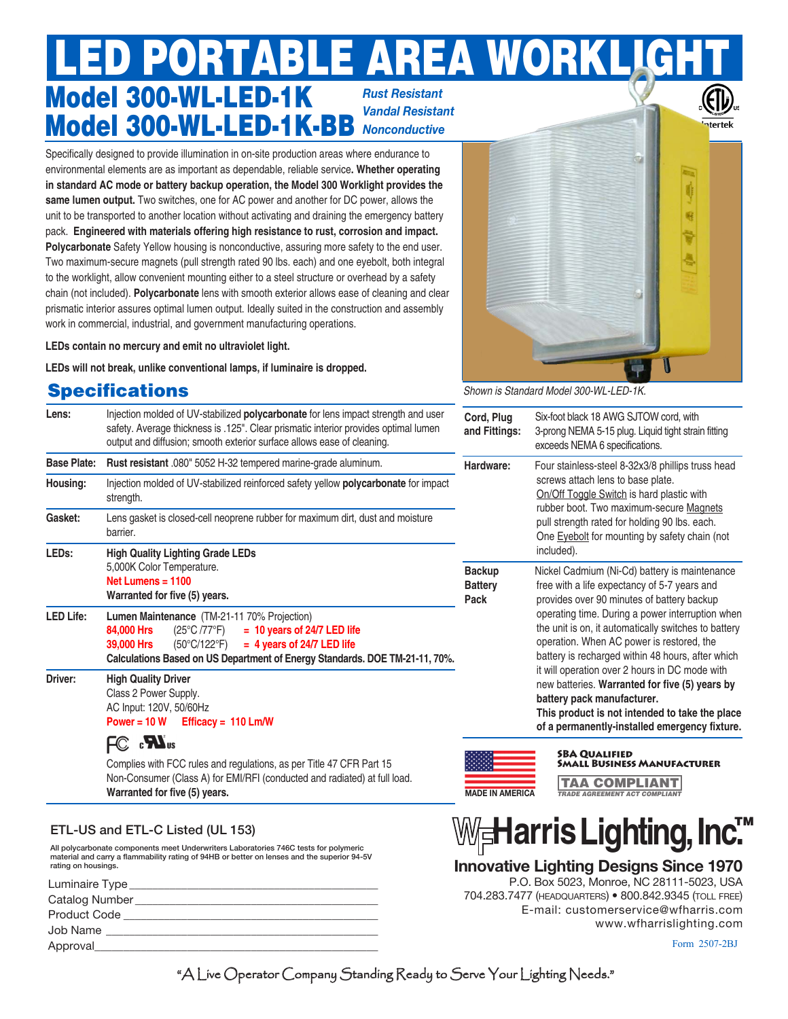# Model 300-WL-LED-1K Model 300-WL-LED-1K-BB LPORTABLE AREA WORK *Rust Resistant Vandal Resistant Nonconductive*

Specifically designed to provide illumination in on-site production areas where endurance to environmental elements are as important as dependable, reliable service**. Whether operating in standard AC mode or battery backup operation, the Model 300 Worklight provides the same lumen output.** Two switches, one for AC power and another for DC power, allows the unit to be transported to another location without activating and draining the emergency battery pack. **Engineered with materials offering high resistance to rust, corrosion and impact. Polycarbonate** Safety Yellow housing is nonconductive, assuring more safety to the end user. Two maximum-secure magnets (pull strength rated 90 lbs. each) and one eyebolt, both integral to the worklight, allow convenient mounting either to a steel structure or overhead by a safety chain (not included). **Polycarbonate** lens with smooth exterior allows ease of cleaning and clear prismatic interior assures optimal lumen output. Ideally suited in the construction and assembly work in commercial, industrial, and government manufacturing operations.

**LEDs contain no mercury and emit no ultraviolet light.**

**LEDs will not break, unlike conventional lamps, if luminaire is dropped.** 

# **Specifications**

| Lens:              | Injection molded of UV-stabilized <b>polycarbonate</b> for lens impact strength and user<br>safety. Average thickness is .125". Clear prismatic interior provides optimal lumen<br>output and diffusion; smooth exterior surface allows ease of cleaning.                                                                                 | Cord, Plug<br>and Fittings:                                                                                                                                                                                                                                                                   | Six-foot black 18 AWG SJTOW cord, with<br>3-prong NEMA 5-15 plug. Liquid tight strain fitting<br>exceeds NEMA 6 specifications.                                                                                                                                                                                                                                                                                                                                                                                                                                                                              |
|--------------------|-------------------------------------------------------------------------------------------------------------------------------------------------------------------------------------------------------------------------------------------------------------------------------------------------------------------------------------------|-----------------------------------------------------------------------------------------------------------------------------------------------------------------------------------------------------------------------------------------------------------------------------------------------|--------------------------------------------------------------------------------------------------------------------------------------------------------------------------------------------------------------------------------------------------------------------------------------------------------------------------------------------------------------------------------------------------------------------------------------------------------------------------------------------------------------------------------------------------------------------------------------------------------------|
| <b>Base Plate:</b> | Rust resistant .080" 5052 H-32 tempered marine-grade aluminum.                                                                                                                                                                                                                                                                            | Hardware:<br>Four stainless-steel 8-32x3/8 phillips truss head<br>screws attach lens to base plate.<br>On/Off Toggle Switch is hard plastic with<br>rubber boot. Two maximum-secure Magnets<br>pull strength rated for holding 90 lbs. each.<br>One Eyebolt for mounting by safety chain (not |                                                                                                                                                                                                                                                                                                                                                                                                                                                                                                                                                                                                              |
| Housing:           | Injection molded of UV-stabilized reinforced safety yellow polycarbonate for impact<br>strength.                                                                                                                                                                                                                                          |                                                                                                                                                                                                                                                                                               |                                                                                                                                                                                                                                                                                                                                                                                                                                                                                                                                                                                                              |
| Gasket:            | Lens gasket is closed-cell neoprene rubber for maximum dirt, dust and moisture<br>barrier.                                                                                                                                                                                                                                                |                                                                                                                                                                                                                                                                                               |                                                                                                                                                                                                                                                                                                                                                                                                                                                                                                                                                                                                              |
| LED <sub>s:</sub>  | <b>High Quality Lighting Grade LEDs</b><br>5,000K Color Temperature.<br>Net Lumens = $1100$<br>Warranted for five (5) years.                                                                                                                                                                                                              | <b>Backup</b><br><b>Battery</b><br>Pack                                                                                                                                                                                                                                                       | included).<br>Nickel Cadmium (Ni-Cd) battery is maintenance<br>free with a life expectancy of 5-7 years and<br>provides over 90 minutes of battery backup<br>operating time. During a power interruption when<br>the unit is on, it automatically switches to battery<br>operation. When AC power is restored, the<br>battery is recharged within 48 hours, after which<br>it will operation over 2 hours in DC mode with<br>new batteries. Warranted for five (5) years by<br>battery pack manufacturer.<br>This product is not intended to take the place<br>of a permanently-installed emergency fixture. |
| <b>LED Life:</b>   | Lumen Maintenance (TM-21-11 70% Projection)<br>$(25^{\circ}C / 77^{\circ}F)$<br>$= 10$ years of 24/7 LED life<br>84,000 Hrs<br>$= 4$ years of 24/7 LED life<br>39,000 Hrs<br>$(50^{\circ}C/122^{\circ}F)$<br>Calculations Based on US Department of Energy Standards. DOE TM-21-11, 70%.                                                  |                                                                                                                                                                                                                                                                                               |                                                                                                                                                                                                                                                                                                                                                                                                                                                                                                                                                                                                              |
| Driver:            | <b>High Quality Driver</b><br>Class 2 Power Supply.<br>AC Input: 120V, 50/60Hz<br>Power = $10 W$ Efficacy = $110$ Lm/W<br>FC <b>N</b> <sub>us</sub><br>Complies with FCC rules and regulations, as per Title 47 CFR Part 15<br>Non-Consumer (Class A) for EMI/RFI (conducted and radiated) at full load.<br>Warranted for five (5) years. |                                                                                                                                                                                                                                                                                               |                                                                                                                                                                                                                                                                                                                                                                                                                                                                                                                                                                                                              |
|                    |                                                                                                                                                                                                                                                                                                                                           | <b>MADE IN AMERICA</b>                                                                                                                                                                                                                                                                        | <b>SBA QUALIFIED</b><br><b>SMALL BUSINESS MANUFACTURER</b><br><b>COMPLIANT</b><br>TAA<br><b>TRADE AGREEMENT ACT COMPLIANT</b>                                                                                                                                                                                                                                                                                                                                                                                                                                                                                |

All polycarbonate components meet Underwriters Laboratories 746C tests for polymeric material and carry a flammability rating of 94HB or better on lenses and the superior 94-5V rating on housings. ETL-US and ETL-C Listed (UL 153) **HarrisLighting, Inc.**TM

| Luminaire Type      |  |
|---------------------|--|
| Catalog Number      |  |
| <b>Product Code</b> |  |
| Job Name            |  |
| Approval            |  |
|                     |  |

#### Form 2507-2BJ

www.wfharrislighting.com

**Innovative Lighting Designs Since 1970**

704.283.7477 (headquarters) • 800.842.9345 (toll free)

P.O. Box 5023, Monroe, NC 28111-5023, USA

E-mail: customerservice@wfharris.com

"A Live Operator Company Standing Ready to Serve Your Lighting Needs."